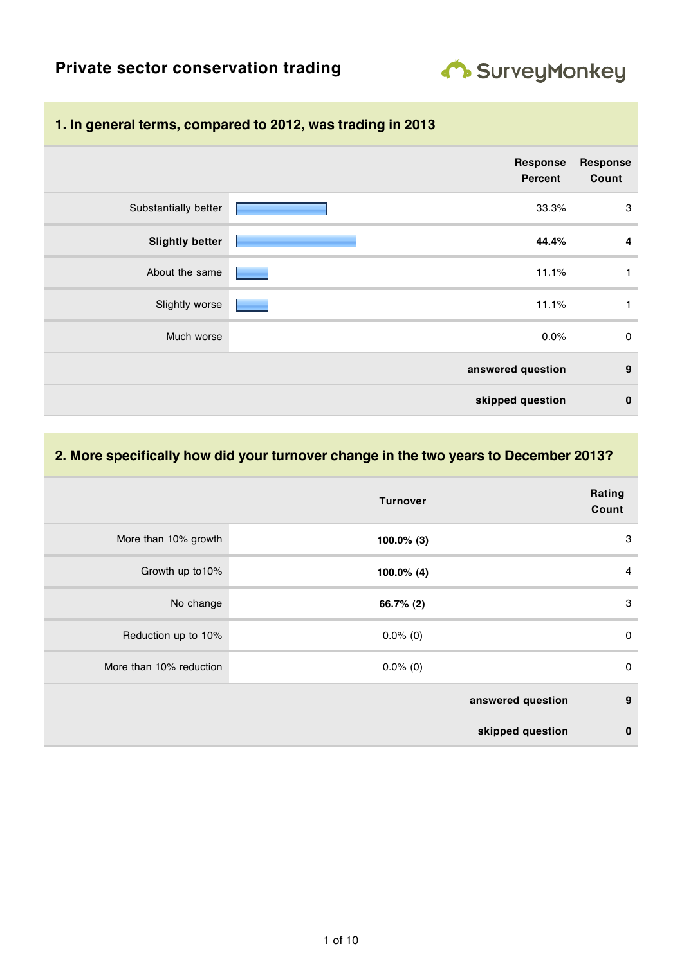

# **Private sector conservation trading**

### **1. In general terms, compared to 2012, was trading in 2013**

|                        | <b>Response</b><br>Percent | <b>Response</b><br>Count |
|------------------------|----------------------------|--------------------------|
| Substantially better   | 33.3%                      | 3                        |
| <b>Slightly better</b> | 44.4%                      | 4                        |
| About the same         | 11.1%                      | 1                        |
| Slightly worse         | 11.1%                      | 1                        |
| Much worse             | 0.0%                       | $\mathbf 0$              |
|                        | answered question          | 9                        |
|                        | skipped question           | $\bf{0}$                 |

#### **2. More specifically how did your turnover change in the two years to December 2013?**

|                         | <b>Turnover</b>   | Rating<br>Count |
|-------------------------|-------------------|-----------------|
| More than 10% growth    | $100.0\%$ (3)     | 3               |
| Growth up to 10%        | $100.0\%$ (4)     | $\overline{4}$  |
| No change               | 66.7% (2)         | 3               |
| Reduction up to 10%     | $0.0\%$ (0)       | $\mathbf 0$     |
| More than 10% reduction | $0.0\%$ (0)       | $\mathbf 0$     |
|                         | answered question | 9               |
|                         | skipped question  | $\bf{0}$        |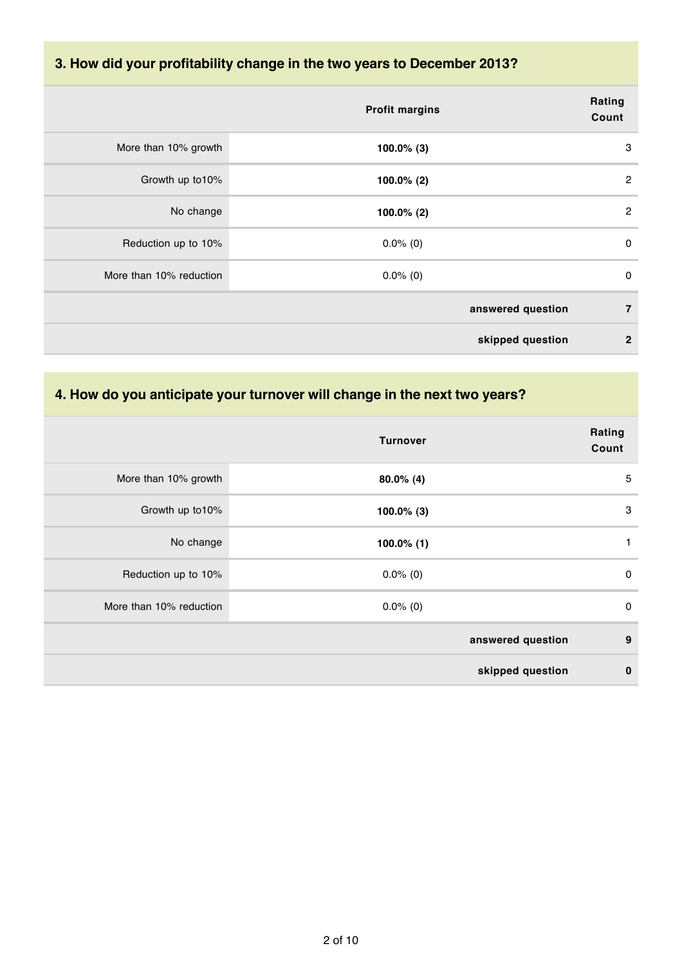# **3. How did your profitability change in the two years to December 2013?**

|                         | <b>Profit margins</b> | Rating<br>Count |
|-------------------------|-----------------------|-----------------|
| More than 10% growth    | $100.0\%$ (3)         | 3               |
| Growth up to 10%        | $100.0\%$ (2)         | $\overline{2}$  |
| No change               | $100.0\%$ (2)         | $\overline{2}$  |
| Reduction up to 10%     | $0.0\%$ (0)           | 0               |
| More than 10% reduction | $0.0\%$ (0)           | $\mathbf 0$     |
|                         | answered question     | $\overline{7}$  |
|                         | skipped question      | $\mathbf{2}$    |

#### **4. How do you anticipate your turnover will change in the next two years?**

|                         | <b>Turnover</b>   | Rating<br>Count |
|-------------------------|-------------------|-----------------|
| More than 10% growth    | $80.0\%$ (4)      | 5               |
| Growth up to 10%        | $100.0\%$ (3)     | 3               |
| No change               | $100.0\%$ (1)     | 1               |
| Reduction up to 10%     | $0.0\%$ (0)       | $\mathbf 0$     |
| More than 10% reduction | $0.0\%$ (0)       | $\mathbf 0$     |
|                         | answered question | 9               |
|                         | skipped question  | $\mathbf 0$     |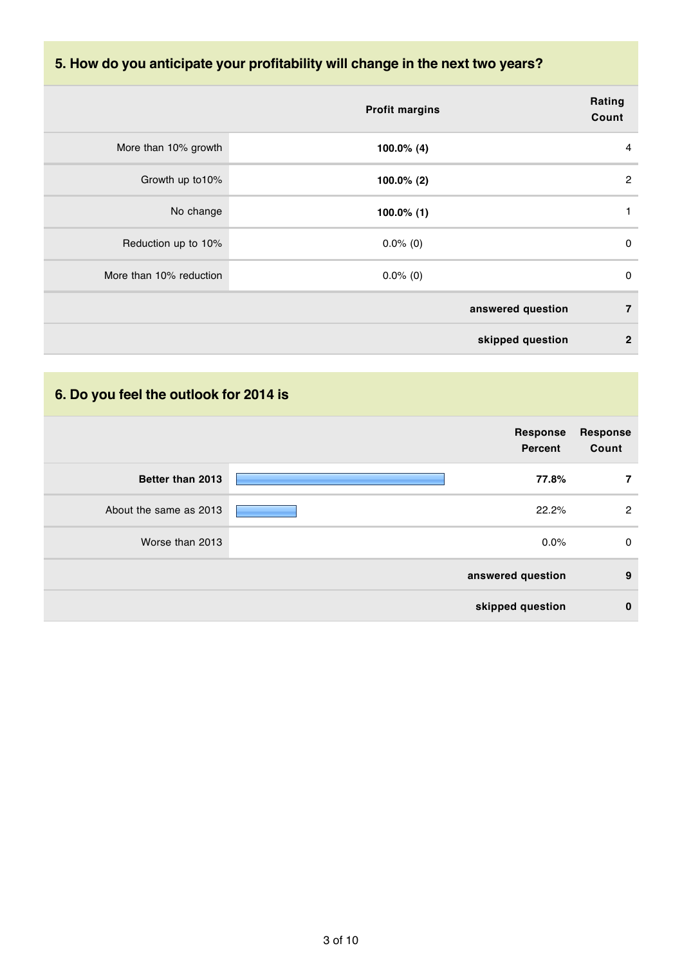# **5. How do you anticipate your profitability will change in the next two years?**

|                         | <b>Profit margins</b> | Rating<br>Count                  |
|-------------------------|-----------------------|----------------------------------|
| More than 10% growth    | $100.0\%$ (4)         | 4                                |
| Growth up to 10%        | $100.0\%$ (2)         | $\overline{2}$                   |
| No change               | $100.0\%$ (1)         | 1                                |
| Reduction up to 10%     | $0.0\%$ (0)           | 0                                |
| More than 10% reduction | $0.0\%$ (0)           | 0                                |
|                         | answered question     | $\overline{7}$                   |
|                         |                       | skipped question<br>$\mathbf{2}$ |

# **6. Do you feel the outlook for 2014 is**

|                        | <b>Response</b><br>Percent | <b>Response</b><br>Count |
|------------------------|----------------------------|--------------------------|
| Better than 2013       | 77.8%                      | 7                        |
| About the same as 2013 | 22.2%                      | $\overline{2}$           |
| Worse than 2013        | 0.0%                       | 0                        |
|                        | answered question          | 9                        |
|                        | skipped question           | $\bf{0}$                 |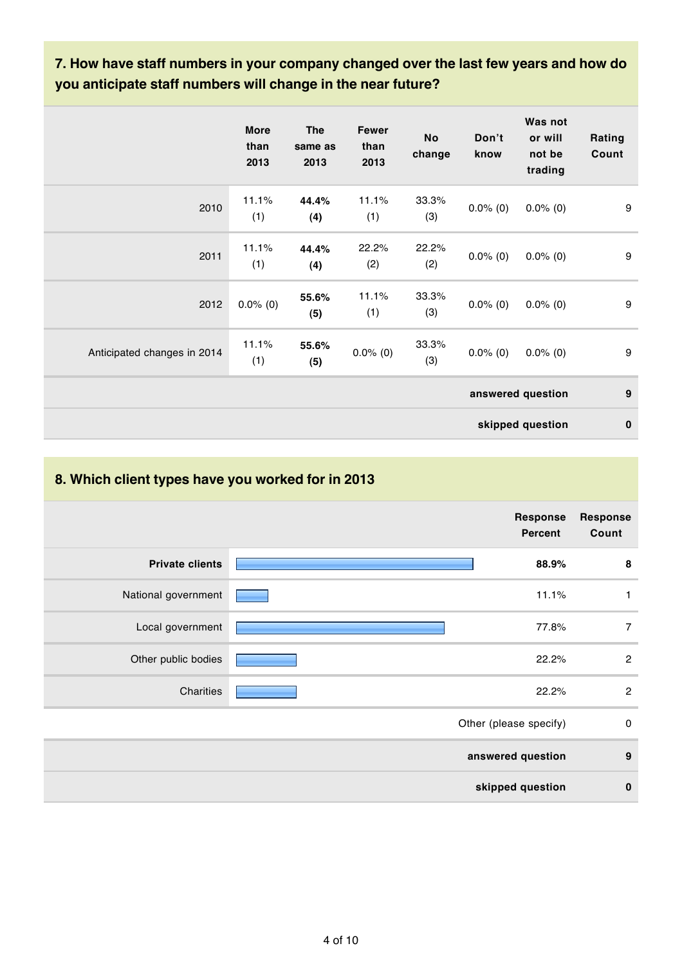### **7. How have staff numbers in your company changed over the last few years and how do you anticipate staff numbers will change in the near future?**

|                             | <b>More</b><br>than<br>2013 | <b>The</b><br>same as<br>2013 | <b>Fewer</b><br>than<br>2013 | <b>No</b><br>change | Don't<br>know | Was not<br>or will<br>not be<br>trading | Rating<br>Count  |
|-----------------------------|-----------------------------|-------------------------------|------------------------------|---------------------|---------------|-----------------------------------------|------------------|
| 2010                        | 11.1%<br>(1)                | 44.4%<br>(4)                  | 11.1%<br>(1)                 | 33.3%<br>(3)        | $0.0\%$ (0)   | $0.0\%$ (0)                             | 9                |
| 2011                        | 11.1%<br>(1)                | 44.4%<br>(4)                  | 22.2%<br>(2)                 | 22.2%<br>(2)        | $0.0\%$ (0)   | $0.0\%$ (0)                             | 9                |
| 2012                        | $0.0\%$ (0)                 | 55.6%<br>(5)                  | 11.1%<br>(1)                 | 33.3%<br>(3)        | $0.0\%$ (0)   | $0.0\%$ (0)                             | $\boldsymbol{9}$ |
| Anticipated changes in 2014 | 11.1%<br>(1)                | 55.6%<br>(5)                  | $0.0\%$ (0)                  | 33.3%<br>(3)        | $0.0\%$ (0)   | $0.0\%$ (0)                             | 9                |
|                             |                             |                               |                              |                     |               | answered question                       | 9                |
|                             |                             |                               |                              |                     |               | skipped question                        | $\bf{0}$         |

# **8. Which client types have you worked for in 2013 Response Percent Response Count Private clients 88.9% 8** National government **12.1%** 11.1% 11.1% Local government **1988** 77.8% 7 Other public bodies **22.2%** 2 Charities 22.2% 2 Other (please specify) 0 **answered question 9 skipped question 0**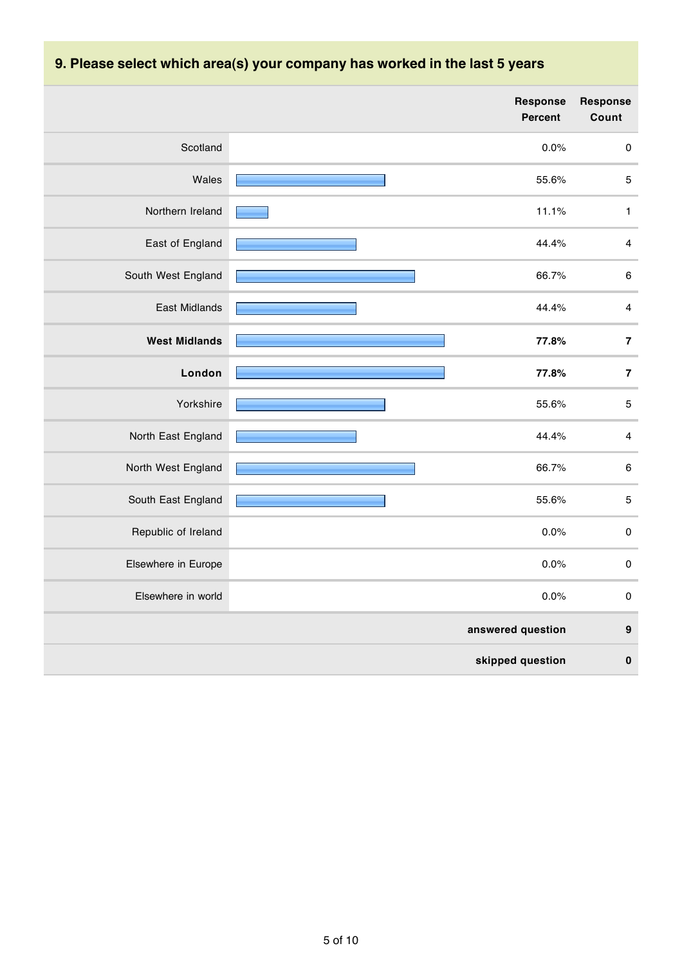|                      | <b>Response</b><br>Percent | <b>Response</b><br>Count |
|----------------------|----------------------------|--------------------------|
| Scotland             | 0.0%                       | $\pmb{0}$                |
| Wales                | 55.6%                      | $\mathbf 5$              |
| Northern Ireland     | 11.1%                      | $\mathbf{1}$             |
| East of England      | 44.4%                      | $\overline{\mathbf{4}}$  |
| South West England   | 66.7%                      | $\,6\,$                  |
| <b>East Midlands</b> | 44.4%                      | $\overline{\mathbf{4}}$  |
| <b>West Midlands</b> | 77.8%                      | $\bf 7$                  |
| London               | 77.8%                      | $\bf 7$                  |
| Yorkshire            | 55.6%                      | $\mathbf 5$              |
| North East England   | 44.4%                      | $\overline{\mathbf{4}}$  |
| North West England   | 66.7%                      | $\,6\,$                  |
| South East England   | 55.6%                      | $\mathbf 5$              |
| Republic of Ireland  | 0.0%                       | $\pmb{0}$                |
| Elsewhere in Europe  | 0.0%                       | $\pmb{0}$                |
| Elsewhere in world   | 0.0%                       | $\pmb{0}$                |
|                      | answered question          | $\boldsymbol{9}$         |
|                      | skipped question           | $\pmb{0}$                |

# **9. Please select which area(s) your company has worked in the last 5 years**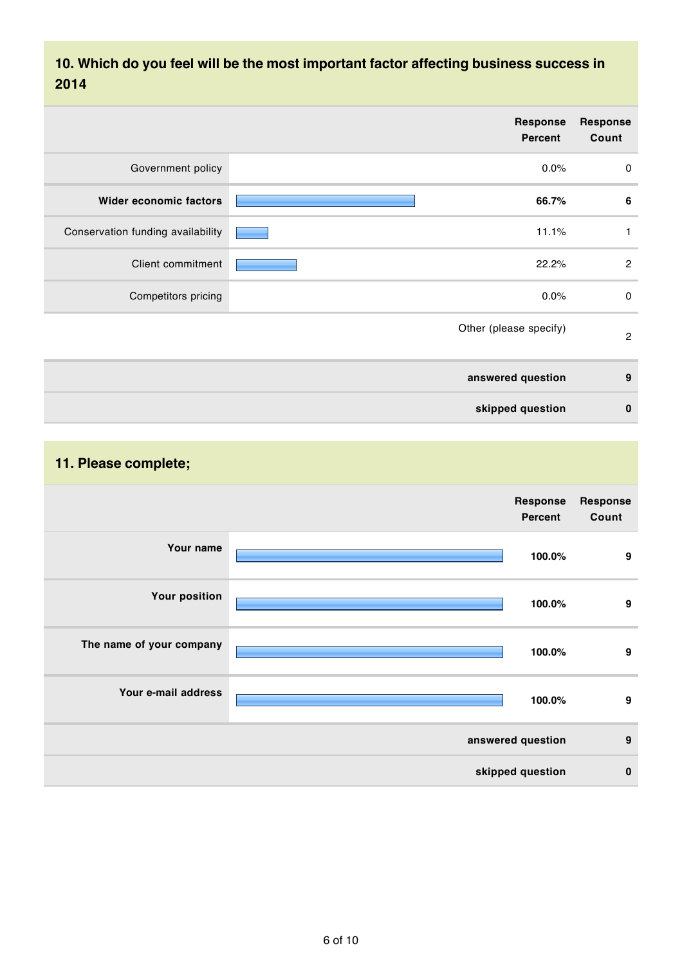### **10. Which do you feel will be the most important factor affecting business success in 2014**

| <b>Response</b><br>Count | Response<br>Percent    |                                   |
|--------------------------|------------------------|-----------------------------------|
| 0                        | 0.0%                   | Government policy                 |
| 6                        | 66.7%                  | <b>Wider economic factors</b>     |
| 1                        | 11.1%                  | Conservation funding availability |
| $\overline{2}$           | 22.2%                  | Client commitment                 |
| $\mathsf 0$              | 0.0%                   | Competitors pricing               |
| $\overline{c}$           | Other (please specify) |                                   |
| 9                        | answered question      |                                   |
| $\bf{0}$                 | skipped question       |                                   |

# **11. Please complete;**

|                          | Response<br>Percent                                         | <b>Response</b><br>Count |
|--------------------------|-------------------------------------------------------------|--------------------------|
| Your name                | <u> 1989 - Johann Barn, mars et al. (b. 1989)</u><br>100.0% | 9                        |
| <b>Your position</b>     | <u> 1989 - Johann Barnett, mars eta inp</u><br>100.0%       | 9                        |
| The name of your company | 100.0%                                                      | 9                        |
| Your e-mail address      | 100.0%                                                      | 9                        |
|                          | answered question                                           | 9                        |
|                          | skipped question                                            | $\mathbf{0}$             |